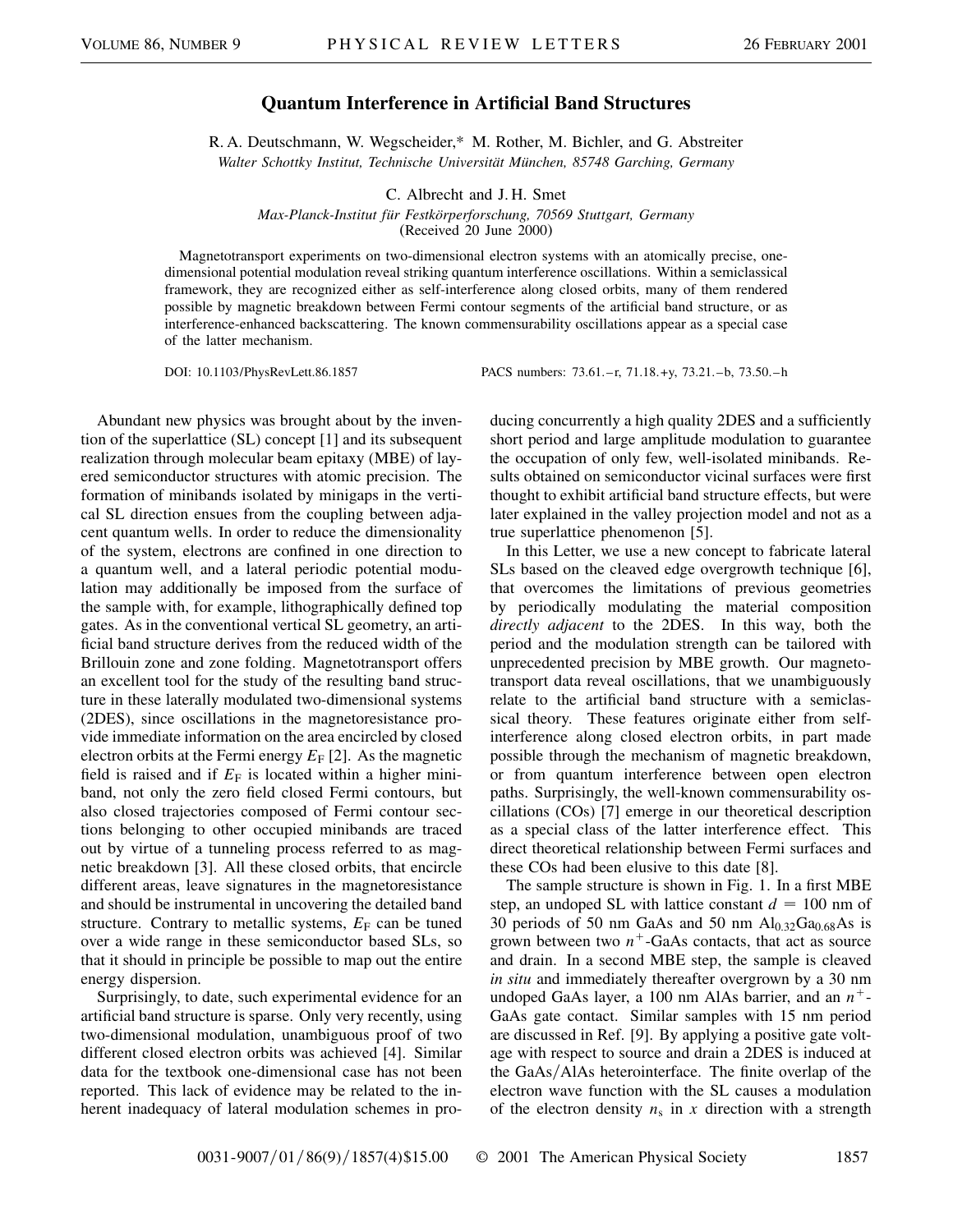## **Quantum Interference in Artificial Band Structures**

R. A. Deutschmann, W. Wegscheider,\* M. Rother, M. Bichler, and G. Abstreiter *Walter Schottky Institut, Technische Universität München, 85748 Garching, Germany*

C. Albrecht and J. H. Smet

*Max-Planck-Institut für Festkörperforschung, 70569 Stuttgart, Germany*

(Received 20 June 2000)

Magnetotransport experiments on two-dimensional electron systems with an atomically precise, onedimensional potential modulation reveal striking quantum interference oscillations. Within a semiclassical framework, they are recognized either as self-interference along closed orbits, many of them rendered possible by magnetic breakdown between Fermi contour segments of the artificial band structure, or as interference-enhanced backscattering. The known commensurability oscillations appear as a special case of the latter mechanism.

DOI: 10.1103/PhysRevLett.86.1857 PACS numbers: 73.61.–r, 71.18.+y, 73.21.–b, 73.50.–h

Abundant new physics was brought about by the invention of the superlattice (SL) concept [1] and its subsequent realization through molecular beam epitaxy (MBE) of layered semiconductor structures with atomic precision. The formation of minibands isolated by minigaps in the vertical SL direction ensues from the coupling between adjacent quantum wells. In order to reduce the dimensionality of the system, electrons are confined in one direction to a quantum well, and a lateral periodic potential modulation may additionally be imposed from the surface of the sample with, for example, lithographically defined top gates. As in the conventional vertical SL geometry, an artificial band structure derives from the reduced width of the Brillouin zone and zone folding. Magnetotransport offers an excellent tool for the study of the resulting band structure in these laterally modulated two-dimensional systems (2DES), since oscillations in the magnetoresistance provide immediate information on the area encircled by closed electron orbits at the Fermi energy  $E_F$  [2]. As the magnetic field is raised and if  $E_F$  is located within a higher miniband, not only the zero field closed Fermi contours, but also closed trajectories composed of Fermi contour sections belonging to other occupied minibands are traced out by virtue of a tunneling process referred to as magnetic breakdown [3]. All these closed orbits, that encircle different areas, leave signatures in the magnetoresistance and should be instrumental in uncovering the detailed band structure. Contrary to metallic systems,  $E_F$  can be tuned over a wide range in these semiconductor based SLs, so that it should in principle be possible to map out the entire energy dispersion.

Surprisingly, to date, such experimental evidence for an artificial band structure is sparse. Only very recently, using two-dimensional modulation, unambiguous proof of two different closed electron orbits was achieved [4]. Similar data for the textbook one-dimensional case has not been reported. This lack of evidence may be related to the inherent inadequacy of lateral modulation schemes in producing concurrently a high quality 2DES and a sufficiently short period and large amplitude modulation to guarantee the occupation of only few, well-isolated minibands. Results obtained on semiconductor vicinal surfaces were first thought to exhibit artificial band structure effects, but were later explained in the valley projection model and not as a true superlattice phenomenon [5].

In this Letter, we use a new concept to fabricate lateral SLs based on the cleaved edge overgrowth technique [6], that overcomes the limitations of previous geometries by periodically modulating the material composition *directly adjacent* to the 2DES. In this way, both the period and the modulation strength can be tailored with unprecedented precision by MBE growth. Our magnetotransport data reveal oscillations, that we unambiguously relate to the artificial band structure with a semiclassical theory. These features originate either from selfinterference along closed electron orbits, in part made possible through the mechanism of magnetic breakdown, or from quantum interference between open electron paths. Surprisingly, the well-known commensurability oscillations (COs) [7] emerge in our theoretical description as a special class of the latter interference effect. This direct theoretical relationship between Fermi surfaces and these COs had been elusive to this date [8].

The sample structure is shown in Fig. 1. In a first MBE step, an undoped SL with lattice constant  $d = 100$  nm of 30 periods of 50 nm GaAs and 50 nm  $\text{Al}_{0.32}\text{Ga}_{0.68}\text{As}$  is grown between two  $n^+$ -GaAs contacts, that act as source and drain. In a second MBE step, the sample is cleaved *in situ* and immediately thereafter overgrown by a 30 nm undoped GaAs layer, a 100 nm AlAs barrier, and an  $n^+$ -GaAs gate contact. Similar samples with 15 nm period are discussed in Ref. [9]. By applying a positive gate voltage with respect to source and drain a 2DES is induced at the  $GaAs/AlAs$  heterointerface. The finite overlap of the electron wave function with the SL causes a modulation of the electron density  $n_s$  in  $x$  direction with a strength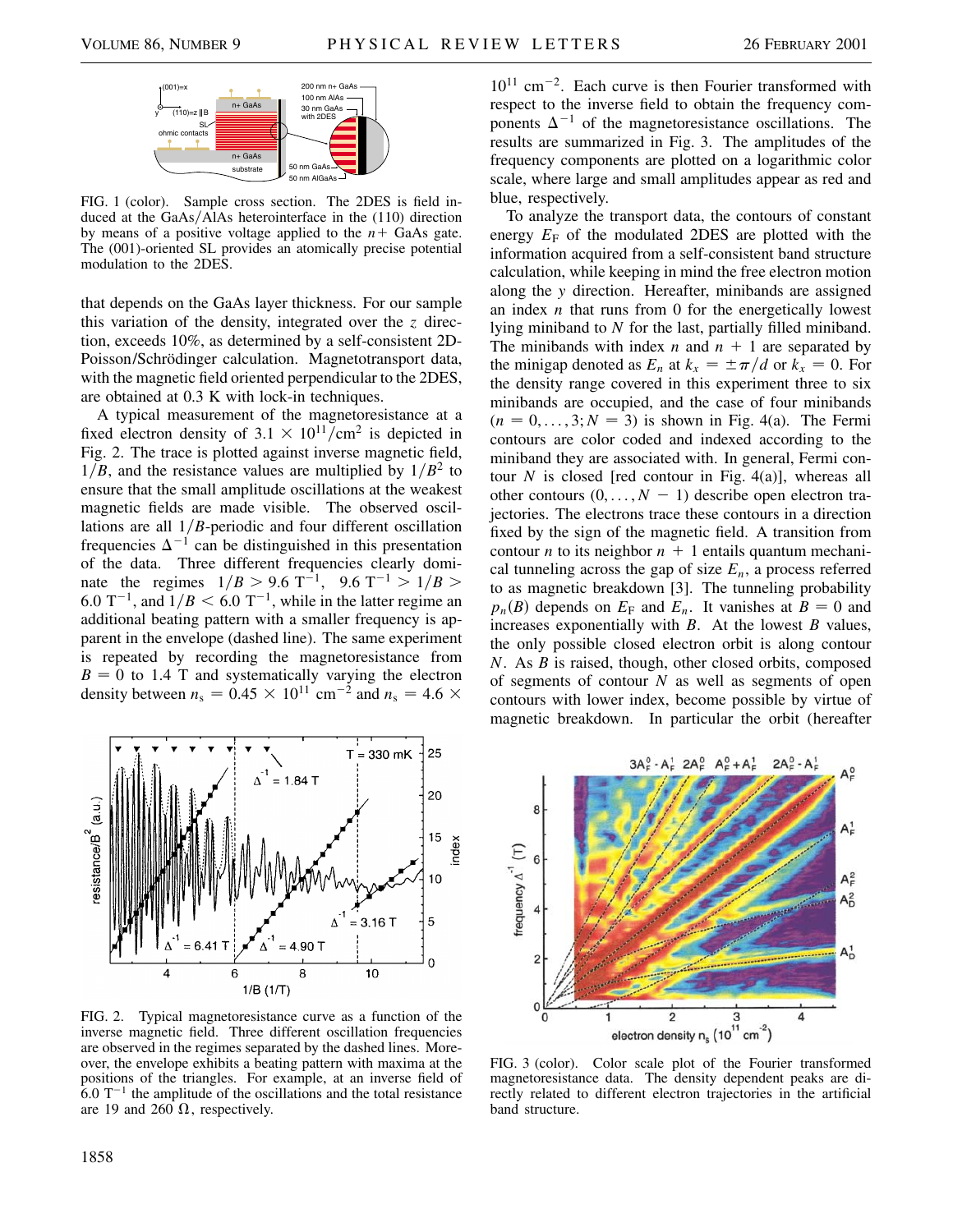

FIG. 1 (color). Sample cross section. The 2DES is field induced at the  $GaAs/\overline{A}IAs$  heterointerface in the (110) direction by means of a positive voltage applied to the  $n+$  GaAs gate. The (001)-oriented SL provides an atomically precise potential modulation to the 2DES.

that depends on the GaAs layer thickness. For our sample this variation of the density, integrated over the *z* direction, exceeds 10%, as determined by a self-consistent 2D-Poisson/Schrödinger calculation. Magnetotransport data, with the magnetic field oriented perpendicular to the 2DES, are obtained at 0.3 K with lock-in techniques.

A typical measurement of the magnetoresistance at a fixed electron density of  $3.1 \times 10^{11}$ /cm<sup>2</sup> is depicted in Fig. 2. The trace is plotted against inverse magnetic field,  $1/B$ , and the resistance values are multiplied by  $1/B<sup>2</sup>$  to ensure that the small amplitude oscillations at the weakest magnetic fields are made visible. The observed oscillations are all  $1/B$ -periodic and four different oscillation frequencies  $\Delta^{-1}$  can be distinguished in this presentation of the data. Three different frequencies clearly dominate the regimes  $1/B > 9.6 \text{ T}^{-1}$ ,  $9.6 \text{ T}^{-1} > 1/B$ 6.0  $T^{-1}$ , and  $1/B < 6.0 T^{-1}$ , while in the latter regime an additional beating pattern with a smaller frequency is apparent in the envelope (dashed line). The same experiment is repeated by recording the magnetoresistance from  $B = 0$  to 1.4 T and systematically varying the electron density between  $n_s = 0.45 \times 10^{11} \text{ cm}^{-2}$  and  $n_s = 4.6 \times$ 



FIG. 2. Typical magnetoresistance curve as a function of the inverse magnetic field. Three different oscillation frequencies are observed in the regimes separated by the dashed lines. Moreover, the envelope exhibits a beating pattern with maxima at the positions of the triangles. For example, at an inverse field of  $6.0 \text{ T}^{-1}$  the amplitude of the oscillations and the total resistance are 19 and 260  $\Omega$ , respectively.

 $10^{11}$  cm<sup>-2</sup>. Each curve is then Fourier transformed with respect to the inverse field to obtain the frequency components  $\Delta^{-1}$  of the magnetoresistance oscillations. The results are summarized in Fig. 3. The amplitudes of the frequency components are plotted on a logarithmic color scale, where large and small amplitudes appear as red and blue, respectively.

To analyze the transport data, the contours of constant energy  $E_F$  of the modulated 2DES are plotted with the information acquired from a self-consistent band structure calculation, while keeping in mind the free electron motion along the *y* direction. Hereafter, minibands are assigned an index *n* that runs from 0 for the energetically lowest lying miniband to *N* for the last, partially filled miniband. The minibands with index  $n$  and  $n + 1$  are separated by the minigap denoted as  $E_n$  at  $k_x = \pm \pi/d$  or  $k_x = 0$ . For the density range covered in this experiment three to six minibands are occupied, and the case of four minibands  $(n = 0, \ldots, 3; N = 3)$  is shown in Fig. 4(a). The Fermi contours are color coded and indexed according to the miniband they are associated with. In general, Fermi contour  $N$  is closed [red contour in Fig. 4(a)], whereas all other contours  $(0, \ldots, N - 1)$  describe open electron trajectories. The electrons trace these contours in a direction fixed by the sign of the magnetic field. A transition from contour *n* to its neighbor  $n + 1$  entails quantum mechanical tunneling across the gap of size  $E_n$ , a process referred to as magnetic breakdown [3]. The tunneling probability  $p_n(B)$  depends on  $E_F$  and  $E_n$ . It vanishes at  $B = 0$  and increases exponentially with *B*. At the lowest *B* values, the only possible closed electron orbit is along contour *N*. As *B* is raised, though, other closed orbits, composed of segments of contour *N* as well as segments of open contours with lower index, become possible by virtue of magnetic breakdown. In particular the orbit (hereafter



magnetoresistance data. The density dependent peaks are directly related to different electron trajectories in the artificial band structure.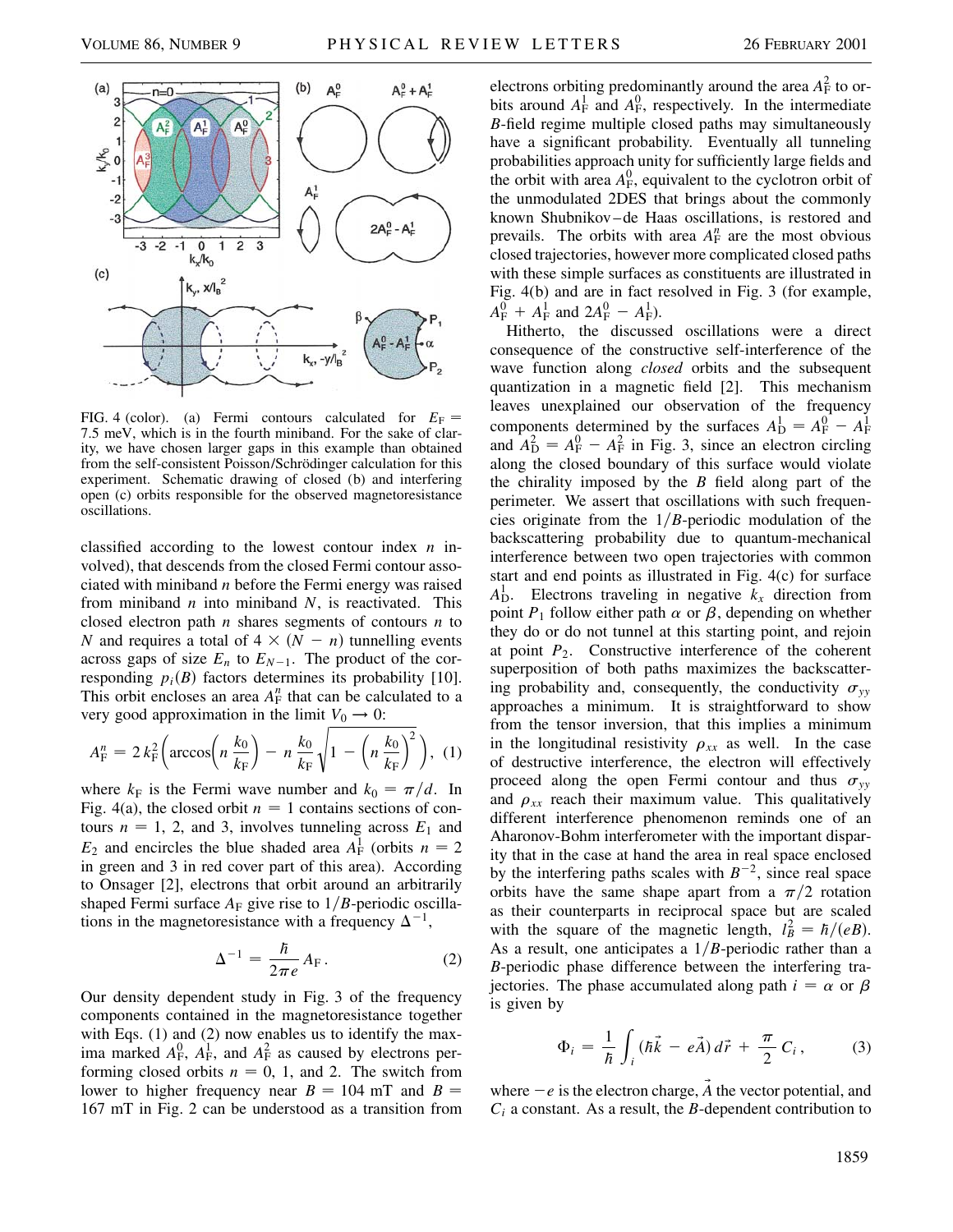

FIG. 4 (color). (a) Fermi contours calculated for  $E_F =$ 7.5 meV, which is in the fourth miniband. For the sake of clarity, we have chosen larger gaps in this example than obtained from the self-consistent Poisson/Schrödinger calculation for this experiment. Schematic drawing of closed (b) and interfering open (c) orbits responsible for the observed magnetoresistance oscillations.

classified according to the lowest contour index *n* involved), that descends from the closed Fermi contour associated with miniband *n* before the Fermi energy was raised from miniband *n* into miniband *N*, is reactivated. This closed electron path *n* shares segments of contours *n* to *N* and requires a total of  $4 \times (N - n)$  tunnelling events across gaps of size  $E_n$  to  $E_{N-1}$ . The product of the corresponding  $p_i(B)$  factors determines its probability [10]. This orbit encloses an area  $A_F^n$  that can be calculated to a very good approximation in the limit  $V_0 \rightarrow 0$ :

$$
A_{\rm F}^{n} = 2 k_{\rm F}^{2} \left( \arccos\left(n \frac{k_{0}}{k_{\rm F}}\right) - n \frac{k_{0}}{k_{\rm F}} \sqrt{1 - \left(n \frac{k_{0}}{k_{\rm F}}\right)^{2}} \right), \tag{1}
$$

where  $k_F$  is the Fermi wave number and  $k_0 = \pi/d$ . In Fig. 4(a), the closed orbit  $n = 1$  contains sections of contours  $n = 1$ , 2, and 3, involves tunneling across  $E_1$  and  $E_2$  and encircles the blue shaded area  $A_F^1$  (orbits  $n = 2$ in green and 3 in red cover part of this area). According to Onsager [2], electrons that orbit around an arbitrarily shaped Fermi surface  $A_F$  give rise to  $1/B$ -periodic oscillations in the magnetoresistance with a frequency  $\Delta^{-1}$ ,

$$
\Delta^{-1} = \frac{\hbar}{2\pi e} A_{\rm F}.
$$
 (2)

Our density dependent study in Fig. 3 of the frequency components contained in the magnetoresistance together with Eqs. (1) and (2) now enables us to identify the maxima marked  $A_F^0$ ,  $A_F^1$ , and  $A_F^2$  as caused by electrons performing closed orbits  $n = 0, 1$ , and 2. The switch from lower to higher frequency near  $B = 104$  mT and  $B =$ 167 mT in Fig. 2 can be understood as a transition from

electrons orbiting predominantly around the area  $A_F^2$  to orbits around  $A_F^1$  and  $A_F^0$ , respectively. In the intermediate *B*-field regime multiple closed paths may simultaneously have a significant probability. Eventually all tunneling probabilities approach unity for sufficiently large fields and the orbit with area  $A_F^0$ , equivalent to the cyclotron orbit of the unmodulated 2DES that brings about the commonly known Shubnikov –de Haas oscillations, is restored and prevails. The orbits with area  $A_F^n$  are the most obvious closed trajectories, however more complicated closed paths with these simple surfaces as constituents are illustrated in Fig. 4(b) and are in fact resolved in Fig. 3 (for example,  $A_{\rm F}^0$  +  $A_{\rm F}^1$  and  $2A_{\rm F}^0$  –  $A_{\rm F}^1$ ).

Hitherto, the discussed oscillations were a direct consequence of the constructive self-interference of the wave function along *closed* orbits and the subsequent quantization in a magnetic field [2]. This mechanism leaves unexplained our observation of the frequency components determined by the surfaces  $A_{\text{D}}^1 = A_{\text{F}}^0 - A_{\text{F}}^1$ and  $A_{\rm D}^2 = A_{\rm F}^0 - A_{\rm F}^2$  in Fig. 3, since an electron circling along the closed boundary of this surface would violate the chirality imposed by the *B* field along part of the perimeter. We assert that oscillations with such frequencies originate from the  $1/B$ -periodic modulation of the backscattering probability due to quantum-mechanical interference between two open trajectories with common start and end points as illustrated in Fig. 4(c) for surface  $A<sub>D</sub><sup>1</sup>$ . Electrons traveling in negative  $k<sub>x</sub>$  direction from point  $P_1$  follow either path  $\alpha$  or  $\beta$ , depending on whether they do or do not tunnel at this starting point, and rejoin at point  $P_2$ . Constructive interference of the coherent superposition of both paths maximizes the backscattering probability and, consequently, the conductivity  $\sigma_{yy}$ approaches a minimum. It is straightforward to show from the tensor inversion, that this implies a minimum in the longitudinal resistivity  $\rho_{xx}$  as well. In the case of destructive interference, the electron will effectively proceed along the open Fermi contour and thus  $\sigma_{yy}$ and  $\rho_{xx}$  reach their maximum value. This qualitatively different interference phenomenon reminds one of an Aharonov-Bohm interferometer with the important disparity that in the case at hand the area in real space enclosed by the interfering paths scales with  $B^{-2}$ , since real space orbits have the same shape apart from a  $\pi/2$  rotation as their counterparts in reciprocal space but are scaled with the square of the magnetic length,  $l_B^2 = \hbar/(eB)$ . As a result, one anticipates a  $1/B$ -periodic rather than a *B*-periodic phase difference between the interfering trajectories. The phase accumulated along path  $i = \alpha$  or  $\beta$ is given by

$$
\Phi_i = \frac{1}{\hbar} \int_i (\hbar \vec{k} - e \vec{A}) d\vec{r} + \frac{\pi}{2} C_i, \qquad (3)
$$

where  $-e$  is the electron charge,  $\vec{A}$  the vector potential, and *Ci* a constant. As a result, the *B*-dependent contribution to